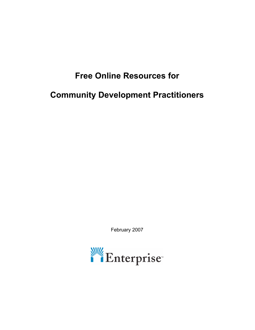# **Free Online Resources for**

# **Community Development Practitioners**

February 2007

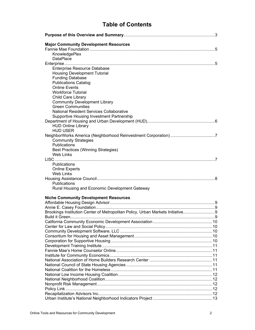## **Table of Contents**

| <b>Major Community Development Resources</b>                                  |  |
|-------------------------------------------------------------------------------|--|
|                                                                               |  |
| KnowledgePlex                                                                 |  |
| DataPlace                                                                     |  |
|                                                                               |  |
| Enterprise Resource Database                                                  |  |
| <b>Housing Development Tutorial</b>                                           |  |
| <b>Funding Database</b>                                                       |  |
| <b>Publications Catalog</b>                                                   |  |
| <b>Online Events</b>                                                          |  |
| <b>Workforce Tutorial</b>                                                     |  |
| Child Care Library                                                            |  |
| <b>Community Development Library</b>                                          |  |
| <b>Green Communities</b>                                                      |  |
| <b>National Resident Services Collaborative</b>                               |  |
| Supportive Housing Investment Partnership                                     |  |
|                                                                               |  |
| <b>HUD Online Library</b>                                                     |  |
| <b>HUD USER</b>                                                               |  |
|                                                                               |  |
| <b>Community Strategies</b>                                                   |  |
| Publications                                                                  |  |
| <b>Best Practices (Winning Strategies)</b>                                    |  |
| <b>Web Links</b>                                                              |  |
| Publications                                                                  |  |
| <b>Online Experts</b>                                                         |  |
| <b>Web Links</b>                                                              |  |
|                                                                               |  |
| Publications                                                                  |  |
| Rural Housing and Economic Development Gateway                                |  |
|                                                                               |  |
| <b>Niche Community Development Resources</b>                                  |  |
|                                                                               |  |
|                                                                               |  |
| Brookings Institution Center of Metropolitan Policy, Urban Markets Initiative |  |
|                                                                               |  |
|                                                                               |  |
|                                                                               |  |
|                                                                               |  |
|                                                                               |  |
|                                                                               |  |
|                                                                               |  |
|                                                                               |  |
|                                                                               |  |
|                                                                               |  |
|                                                                               |  |
|                                                                               |  |
|                                                                               |  |
|                                                                               |  |
|                                                                               |  |
|                                                                               |  |
|                                                                               |  |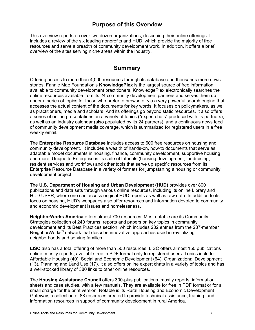### **Purpose of this Overview**

This overview reports on over two dozen organizations, describing their online offerings. It includes a review of the six leading nonprofits and HUD, which provide the majority of free resources and serve a breadth of community development work. In addition, it offers a brief overview of the sites serving niche areas within the industry.

### **Summary**

Offering access to more than 4,000 resources through its database and thousands more news stories, Fannie Mae Foundation's **KnowledgePlex** is the largest source of free information available to community development practitioners. KnowledgePlex electronically searches the online resources available from its 24 community development partners and serves them up under a series of topics for those who prefer to browse or via a very powerful search engine that accesses the actual content of the documents for key words. It focuses on policymakers, as well as practitioners, media and scholars. And its offerings go beyond static resources. It also offers a series of online presentations on a variety of topics ("expert chats" produced with its partners), as well as an industry calendar (also populated by its 24 partners), and a continuous news feed of community development media coverage, which is summarized for registered users in a free weekly email.

The **Enterprise Resource Database** includes access to 600 free resources on housing and community development. It includes a wealth of hands-on, how-to documents that serve as adaptable model documents in housing, finance, community development, supportive housing and more. Unique to Enterprise is its suite of tutorials (housing development, fundraising, resident services and workflow) and other tools that serve up specific resources from its Enterprise Resource Database in a variety of formats for jumpstarting a housing or community development project.

The **U.S. Department of Housing and Urban Development (HUD)** provides over 800 publications and data sets through various online resources, including its online Library and HUD USER, where one can access original HUD reports as well as raw data. In addition to its focus on housing, HUD's webpages also offer resources and information devoted to community and economic development issues and homelessness.

**NeighborWorks America** offers almost 700 resources. Most notable are its Community Strategies collection of 240 forums, reports and papers on key topics in community development and its Best Practices section, which includes 282 entries from the 237-member NeighborWorks® network that describe innovative approaches used in revitalizing neighborhoods and serving families.

**LISC** also has a total offering of more than 500 resources. LISC offers almost 150 publications online, mostly reports, available free in PDF format only to registered users. Topics include: Affordable Housing (40), Social and Economic Development (64), Organizational Development (13), Planning and Land Use (17). It also offers online expert chats in a variety of topics and has a well-stocked library of 380 links to other online resources.

The **Housing Assistance Council** offers 300-plus publications, mostly reports, information sheets and case studies, with a few manuals. They are available for free in PDF format or for a small charge for the print version. Notable is its Rural Housing and Economic Development Gateway, a collection of 88 resources created to provide technical assistance, training, and information resources in support of community development in rural America.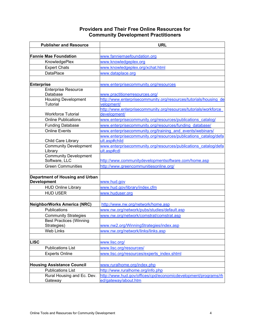### **Providers and Their Free Online Resources for Community Development Practitioners**

| <b>Publisher and Resource</b>                         | <b>URL</b>                                                                       |
|-------------------------------------------------------|----------------------------------------------------------------------------------|
|                                                       |                                                                                  |
| <b>Fannie Mae Foundation</b>                          | www.fanniemaefoundation.org                                                      |
| KnowledgePlex                                         | www.knowledgeplex.org                                                            |
| <b>Expert Chats</b>                                   | www.knowledgeplex.org/xchat.html                                                 |
| <b>DataPlace</b>                                      | www.dataplace.org                                                                |
|                                                       |                                                                                  |
| <b>Enterprise</b>                                     | www.enterprisecommunity.org/resources                                            |
| <b>Enterprise Resource</b>                            |                                                                                  |
| Database                                              | www.practitionerresources.org/                                                   |
| <b>Housing Development</b>                            | http://www.enterprisecommunity.org/resources/tutorials/housing de                |
| <b>Tutorial</b>                                       | velopment/                                                                       |
|                                                       | http://www.enterprisecommunity.org/resources/tutorials/workforce                 |
| <b>Workforce Tutorial</b>                             | development/                                                                     |
| <b>Online Publications</b>                            | www.enterprisecommunity.org/resources/publications catalog/                      |
| <b>Funding Database</b>                               | www.enterprisecommunity.org/resources/funding database/                          |
| <b>Online Events</b>                                  | www.enterprisecommunity.org/training and events/webinars/                        |
| Child Care Library                                    | www.enterprisecommunity.org/resources/publications catalog/defa<br>ult.asp#child |
| <b>Community Development</b>                          | www.enterprisecommunity.org/resources/publications catalog/defa                  |
| Library                                               | ult.asp#cdl                                                                      |
| <b>Community Development</b>                          |                                                                                  |
| Software, LLC                                         | http://www.communitydevelopmentsoftware.com/home.asp                             |
| <b>Green Communities</b>                              | http://www.greencommunitiesonline.org/                                           |
|                                                       |                                                                                  |
| Department of Housing and Urban<br><b>Development</b> | www.hud.gov                                                                      |
| <b>HUD Online Library</b>                             | www.hud.gov/library/index.cfm                                                    |
| <b>HUD USER</b>                                       | www.huduser.org                                                                  |
|                                                       |                                                                                  |
| NeighborWorks America (NRC)                           | http://www.nw.org/network/home.asp                                               |
| Publications                                          | www.nw.org/network/pubs/studies/default.asp                                      |
| <b>Community Strategies</b>                           | www.nw.org/network/comstrat/comstrat.asp                                         |
| <b>Best Practices (Winning</b>                        |                                                                                  |
| Strategies)                                           | www.nw2.org/WinningStrategies/index.asp                                          |
| <b>Web Links</b>                                      | www.nw.org/network/links/links.asp                                               |
|                                                       |                                                                                  |
| <b>LISC</b>                                           | www.lisc.org/                                                                    |
| <b>Publications List</b>                              | www.lisc.org/resources/                                                          |
| <b>Experts Online</b>                                 | www.lisc.org/resources/experts_index.shtml                                       |
|                                                       |                                                                                  |
| <b>Housing Assistance Council</b>                     | www.ruralhome.org/index.php                                                      |
| <b>Publications List</b>                              | http://www.ruralhome.org/info.php                                                |
| Rural Housing and Ec. Dev.                            | http://www.hud.gov/offices/cpd/economicdevelopment/programs/rh                   |
| Gateway                                               | ed/gateway/about.htm                                                             |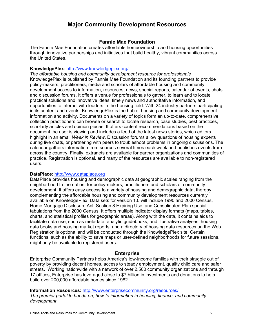### **Major Community Development Resources**

### **Fannie Mae Foundation**

The Fannie Mae Foundation creates affordable homeownership and housing opportunities through innovative partnerships and initiatives that build healthy, vibrant communities across the United States.

### **KnowledgePlex**: http://www.knowledgeplex.org/

*The affordable housing and community development resource for professionals* KnowledgePlex is published by Fannie Mae Foundation and its founding partners to provide policy-makers, practitioners, media and scholars of affordable housing and community development access to information, resources, news, special reports, calendar of events, chats and discussion forums. It offers a venue for professionals to gather, to learn and to locate practical solutions and innovative ideas, timely news and authoritative information, and opportunities to interact with leaders in the housing field. With 24 industry partners participating in its content and events, KnowledgePlex is the hub of housing and community development information and activity. Documents on a variety of topics form an up-to-date, comprehensive collection practitioners can browse or search to locate research, case studies, best practices, scholarly articles and opinion pieces. It offers content recommendations based on the document the user is viewing and includes a feed of the latest news stories, which editors highlight in an email *Week in Review*. Discussion forums allow questions of housing experts during live chats, or partnering with peers to troubleshoot problems in ongoing discussions. The calendar gathers information from sources several times each week and publishes events from across the country. Finally, extranets are available for partner organizations and communities of practice. Registration is optional, and many of the resources are available to non-registered users.

#### **DataPlace**: http://www.dataplace.org

DataPlace provides housing and demographic data at geographic scales ranging from the neighborhood to the nation, for policy-makers, practitioners and scholars of community development. It offers easy access to a variety of housing and demographic data, thereby complementing the affordable housing and community development resources currently available on KnowledgePlex. Data sets for version 1.0 will include 1990 and 2000 Census, Home Mortgage Disclosure Act, Section 8 Expiring Use, and Consolidated Plan special tabulations from the 2000 Census. It offers multiple indicator display formats (maps, tables, charts, and statistical profiles for geographic areas). Along with the data, it contains aids to facilitate data use, such as metadata, analytic guidebooks, and illustrative analyses, housing data books and housing market reports, and a directory of housing data resources on the Web. Registration is optional and will be conducted through the KnowledgePlex site. Certain functions, such as the ability to save maps or user-defined neighborhoods for future sessions, might only be available to registered users.

### **Enterprise**

Enterprise Community Partners helps America's low-income families with their struggle out of poverty by providing decent homes, access to steady employment, quality child care and safer streets. Working nationwide with a network of over 2,500 community organizations and through 17 offices, Enterprise has leveraged close to \$7 billion in investments and donations to help build over 200,000 affordable homes since 1982.

#### **Information Resources:** http://www.enterprisecommunity.org/resources/

*The premier portal to hands-on, how-to information in housing, finance, and community development*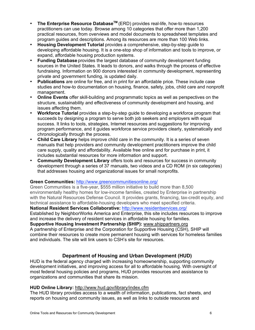- **The Enterprise Resource DatabaseTM** (ERD) provides real-life, how-to resources practitioners can use today. Browse among 10 categories that offer more than 1,200 practical resources, from overviews and model documents to spreadsheet templates and program guides and descriptions. Among its resources are more than 100 Web links.
- **Housing Development Tutorial** provides a comprehensive, step-by-step guide to developing affordable housing. It is a one-stop shop of information and tools to improve, or expand, affordable housing production systems.
- **Funding Database** provides the largest database of community development funding sources in the United States. It leads to donors, and walks through the process of effective fundraising. Information on 900 donors interested in community development, representing private and government funding, is updated daily.
- **Publications** are online for free, and in print for an affordable price. These include case studies and how-to documentation on housing, finance, safety, jobs, child care and nonprofit management.
- **Online Events** offer skill-building and programmatic topics as well as perspectives on the structure, sustainability and effectiveness of community development and housing, and issues affecting them.
- **Workforce Tutorial** provides a step-by-step guide to developing a workforce program that succeeds by designing a program to serve both job seekers and employers with equal success. It links to tools, strategies, Internet resources and suggestions for improving program performance, and it guides workforce service providers clearly, systematically and chronologically through the process.
- **Child Care Library** helps improve child care in the community. It is a series of seven manuals that help providers and community development practitioners improve the child care supply, quality and affordability. Available free online and for purchase in print, it includes substantial resources for more information and support.
- **Community Development Library** offers tools and resources for success in community development through a series of 37 manuals, two videos and a CD ROM (in six categories) that addresses housing and organizational issues for small nonprofits.

### **Green Communities:** http://www.greencommunitiesonline.org/

Green Communities is a five-year, \$555 million initiative to build more than 8,500 environmentally healthy homes for low-income families, created by Enterprise in partnership with the Natural Resources Defense Council. It provides grants, financing, tax-credit equity, and technical assistance to affordable-housing developers who meet specified criteria.

### **National Resident Services Collaborative:** http://www.residentservices.org/

Established by NeighborWorks America and Enterprise, this site includes resources to improve and increase the delivery of resident services in affordable housing for families.

### **Supportive Housing Investment Partnership (SHIP):** www.shippartners.org

A partnership of Enterprise and the Corporation for Supportive Housing (CSH), SHIP will combine their resources to create more permanent housing with services for homeless families and individuals. The site will link users to CSH's site for resources.

### **Department of Housing and Urban Development (HUD)**

HUD is the federal agency charged with increasing homeownership, supporting community development initiatives, and improving access for all to affordable housing. With oversight of most federal housing policies and programs, HUD provides resources and assistance to organizations and communities that share its mission.

### **HUD Online Library:** http://www.hud.gov/library/index.cfm

The HUD library provides access to a wealth of information, publications, fact sheets, and reports on housing and community issues, as well as links to outside resources and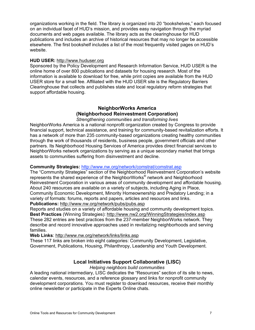organizations working in the field. The library is organized into 20 "bookshelves," each focused on an individual facet of HUD's mission, and provides easy navigation through the myriad documents and web pages available. The library acts as the clearinghouse for HUD publications and includes an archive of historical resources that may no longer be accessible elsewhere. The first bookshelf includes a list of the most frequently visited pages on HUD's website.

#### **HUD USER:** http://www.huduser.org

Sponsored by the Policy Development and Research Information Service, HUD USER is the online home of over 800 publications and datasets for housing research. Most of the information is available to download for free, while print copies are available from the HUD USER store for a small fee. Affiliated with the HUD USER site is the Regulatory Barriers Clearinghouse that collects and publishes state and local regulatory reform strategies that support affordable housing.

### **NeighborWorks America (Neighborhood Reinvestment Corporation)**

*Strengthening communities and transforming lives*

NeighborWorks America is a national nonprofit organization created by Congress to provide financial support, technical assistance, and training for community-based revitalization efforts. It has a network of more than 235 community-based organizations creating healthy communities through the work of thousands of residents, business people, government officials and other partners. Its Neighborhood Housing Services of America provides direct financial services to NeighborWorks network organizations by serving as a unique secondary market that brings assets to communities suffering from disinvestment and decline.

#### **Community Strategies:** http://www.nw.org/network/comstrat/comstrat.asp

The "Community Strategies" section of the Neighborhood Reinvestment Corporation's website represents the shared experience of the NeighborWorks® network and Neighborhood Reinvestment Corporation in various areas of community development and affordable housing. About 240 resources are available on a variety of subjects, including Aging in Place, Community Economic Development, Minority Homeownership and Predatory Lending; in a variety of formats: forums, reports and papers, articles and resources and links. **Publications:** http://www.nw.org/network/pubs/pubs.asp

Reports and studies on a variety of affordable housing and community development topics. **Best Practices** (Winning Strategies): http://www.nw2.org/WinningStrategies/index.asp These 282 entries are best practices from the 237-member NeighborWorks network. They describe and record innovative approaches used in revitalizing neighborhoods and serving families.

**Web Links**: http://www.nw.org/network/links/links.asp

These 117 links are broken into eight categories: Community Development, Legislative, Government, Publications, Housing, Philanthropy, Leadership and Youth Development.

### **Local Initiatives Support Collaborative (LISC)**

*Helping neighbors build communities*

A leading national intermediary, LISC dedicates the "Resources" section of its site to news, calendar events, resources, and a reference glossary and links for nonprofit community development corporations. You must register to download resources, receive their monthly online newsletter or participate in the Experts Online chats.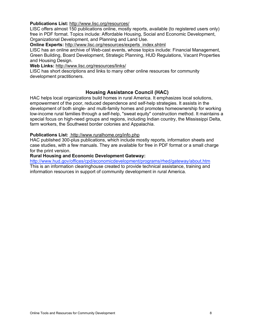#### **Publications List:** http://www.lisc.org/resources/

LISC offers almost 150 publications online, mostly reports, available (to registered users only) free in PDF format. Topics include: Affordable Housing, Social and Economic Development, Organizational Development, and Planning and Land Use.

**Online Experts:** http://www.lisc.org/resources/experts\_index.shtml

LISC has an online archive of Web-cast events, whose topics include: Financial Management, Green Building, Board Development, Strategic Planning, HUD Regulations, Vacant Properties and Housing Design.

**Web Links:** http://www.lisc.org/resources/links/

LISC has short descriptions and links to many other online resources for community development practitioners.

### **Housing Assistance Council (HAC)**

HAC helps local organizations build homes in rural America. It emphasizes local solutions, empowerment of the poor, reduced dependence and self-help strategies. It assists in the development of both single- and multi-family homes and promotes homeownership for working low-income rural families through a self-help, "sweat equity" construction method. It maintains a special focus on high-need groups and regions, including Indian country, the Mississippi Delta, farm workers, the Southwest border colonies and Appalachia.

#### **Publications List:** http://www.ruralhome.org/info.php

HAC published 300-plus publications, which include mostly reports, information sheets and case studies, with a few manuals. They are available for free in PDF format or a small charge for the print version.

#### **Rural Housing and Economic Development Gateway:**

http://www.hud.gov/offices/cpd/economicdevelopment/programs/rhed/gateway/about.htm This is an information clearinghouse created to provide technical assistance, training and information resources in support of community development in rural America.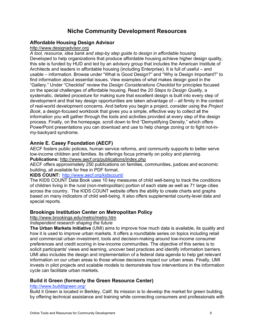### **Niche Community Development Resources**

### **Affordable Housing Design Advisor**

### http://www.designadvisor.org

*A tool, resource, idea bank and step-by step guide to design in affordable housing* Developed to help organizations that produce affordable housing achieve higher design quality, this site is funded by HUD and led by an advisory group that includes the American Institute of Architects and leaders in affordable housing (including Enterprise). It is full of useful – and usable – information. Browse under "What is Good Design?" and "Why is Design Important?" to find information about essential issues. View examples of what makes design good in the "Gallery." Under "Checklist" review the *Design Considerations Checklist* for principles focused on the special challenges of affordable housing. Read the *20 Steps to Design Quality*, a systematic, detailed procedure for making sure that excellent design is built into every step of development and that key design opportunities are taken advantage of – all firmly in the context of real-world development concerns. And before you begin a project, consider using the *Project Book*, a design-focused workbook that gives you a simple, effective way to collect all the information you will gather through the tools and activities provided at every step of the design process. Finally, on the homepage, scroll down to find "Demystifying Density," which offers PowerPoint presentations you can download and use to help change zoning or to fight not-inmy-backyard syndrome.

### **Annie E. Casey Foundation (AECF)**

AECF fosters public policies, human service reforms, and community supports to better serve low-income children and families. Its offerings focus primarily on policy and planning. **Publications:** http://www.aecf.org/publications/index.php

AECF offers approximately 250 publications on families, communities, justices and economic building, all available for free in PDF format.

#### **KIDS COUNT:** http://www.aecf.org/kidscount/

The KIDS COUNT Data Book uses 10 key measures of child well-being to track the conditions of children living in the rural (non-metropolitan) portion of each state as well as 71 large cities across the country. The KIDS COUNT website offers the ability to create charts and graphs based on many indicators of child well-being. It also offers supplemental county-level data and special reports.

### **Brookings Institution Center on Metropolitan Policy**

http://www.brookings.edu/metro/metro.htm

#### *Independent research shaping the future*

**The Urban Markets Initiative** (UMI) aims to improve how much data is available, its quality and how it is used to improve urban markets. It offers a roundtable series on topics including retail and commercial urban investment, tools and decision-making around low-income consumer preferences and credit scoring in low-income communities. The objective of this series is to solicit participants' views and learning, uncover best practices and identify information barriers. UMI also includes the design and implementation of a federal data agenda to help get relevant information on our urban areas to those whose decisions impact our urban areas. Finally, UMI invests in pilot projects and scalable models to demonstrate how interventions in the information cycle can facilitate urban markets.

### **Build it Green (formerly the Green Resource Center)**

### http://www.builditgreen.org/

Build it Green is located in Berkley, Calif. Its mission is to develop the market for green building by offering technical assistance and training while connecting consumers and professionals with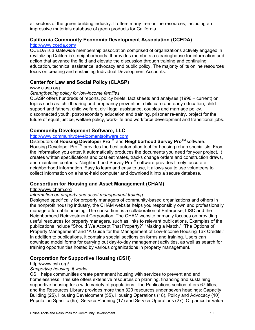all sectors of the green building industry. It offers many free online resources, including an impressive materials database of green products for California.

### **California Community Economic Development Association (CCEDA)**

### http://www.cceda.com/

CCEDA is a statewide membership association comprised of organizations actively engaged in revitalizing California's neighborhoods. It provides members a clearinghouse for information and action that advance the field and elevate the discussion through training and continuing education, technical assistance, advocacy and public policy. The majority of its online resources focus on creating and sustaining Individual Development Accounts.

### **Center for Law and Social Policy (CLASP)**

### www.clasp.org

### *Strengthening policy for low-income families*

CLASP offers hundreds of reports, policy briefs, fact sheets and analyses (1996 – current) on topics such as: childbearing and pregnancy prevention, child care and early education, child support and fathers, child welfare, civil legal assistance, couples and marriage policy, disconnected youth, post-secondary education and training, prisoner re-entry, project for the future of equal justice, welfare policy, work-life and workforce development and transitional jobs.

### **Community Development Software, LLC**

### http://www.communitydevelopmentsoftware.com

Distributors of **Housing Developer Pro**TM and **Neighborhood Survey Pro**TM software. Housing Developer Pro<sup>™</sup> provides the best automation tool for housing rehab specialists. From the information you enter, it automatically produces the documents you need for your project. It creates written specifications and cost estimates, tracks change orders and construction draws, and maintains contacts. Neighborhood Survey Pro™ software provides timely, accurate neighborhood information. Easy to learn and easy to use, it allows you to use volunteers to collect information on a hand-held computer and download it into a secure database.

### **Consortium for Housing and Asset Management (CHAM)**

### http://www.cham.org

### *Information on property and asset management training*

Designed specifically for property managers of community-based organizations and others in the nonprofit housing industry, the CHAM website helps you responsibly own and professionally manage affordable housing. The consortium is a collaboration of Enterprise, LISC and the Neighborhood Reinvestment Corporation. The CHAM website primarily focuses on providing useful resources for property managers, such as links to relevant publications. Examples of the publications include "Should We Accept That Property?" "Making a Match," "The Options of Property Management" and "A Guide for the Management of Low-Income Housing Tax Credits." In addition to publications, it contains special sections on forms and training. Users can download model forms for carrying out day-to-day management activities, as well as search for training opportunities hosted by various organizations in property management.

### **Corporation for Supportive Housing (CSH)**

### http://www.csh.org/

### *Supportive housing, it works*

CSH helps communities create permanent housing with services to prevent and end homelessness. This site offers extensive resources on planning, financing and sustaining supportive housing for a wide variety of populations. The Publications section offers 67 titles, and the Resources Library provides more than 320 resources under seven headings: Capacity Building (25), Housing Development (55), Housing Operations (18), Policy and Advocacy (10), Population Specific (65), Service Planning (17) and Service Operations (27). Of particular value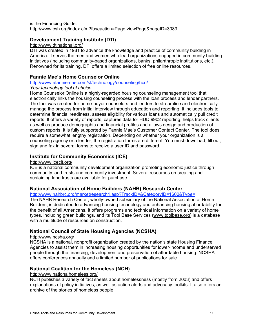### **Development Training Institute (DTI)**

#### http://www.dtinational.org/

DTI was created in 1981 to advance the knowledge and practice of community building in America. It serves the men and women who lead organizations engaged in community building initiatives (including community-based organizations, banks, philanthropic institutions, etc.). Renowned for its training, DTI offers a limited selection of free online resources.

### **Fannie Mae's Home Counselor Online**

### http://www.efanniemae.com/sf/technology/counseling/hco/

#### *Your technology tool of choice*

Home Counselor Online is a highly-regarded housing counseling management tool that electronically links the housing counseling process with the loan process and lender partners. The tool was created for home-buyer counselors and lenders to streamline and electronically manage the process from initial interview through education and reporting. It includes tools to determine financial readiness, assess eligibility for various loans and automatically pull credit reports. It offers a variety of reports, captures data for HUD 9902 reporting, helps track clients as well as produce demographic and financial profiles and allows design and production of custom reports. It is fully supported by Fannie Mae's Customer Contact Center. The tool does require a somewhat lengthy registration. Depending on whether your organization is a counseling agency or a lender, the registration forms are different. You must download, fill out, sign and fax in several forms to receive a user ID and password.

### **Institute for Community Economics (ICE)**

#### http://www.iceclt.org/

ICE is a national community development organization promoting economic justice through community land trusts and community investment. Several resources on creating and sustaining land trusts are available for purchase.

### **National Association of Home Builders (NAHB) Research Center**

http://www.nahbrc.org/marketresearch1.asp?TrackID=&CategoryID=1600&Type=

The NAHB Research Center, wholly-owned subsidiary of the National Association of Home Builders, is dedicated to advancing housing technology and enhancing housing affordability for the benefit of all Americans. It offers programs and technical information on a variety of home types, including green buildings, and its Tool Base Services (www.toolbase.org) is a database with a multitude of resources on construction.

### **National Council of State Housing Agencies (NCSHA)**

#### http://www.ncsha.org/

NCSHA is a national, nonprofit organization created by the nation's state Housing Finance Agencies to assist them in increasing housing opportunities for lower-income and underserved people through the financing, development and preservation of affordable housing. NCSHA offers conferences annually and a limited number of publications for sale.

### **National Coalition for the Homeless (NCH)**

### http://www.nationalhomeless.org/

NCH publishes a variety of fact sheets about homelessness (mostly from 2003) and offers explanations of policy initiatives, as well as action alerts and advocacy toolkits. It also offers an archive of the stories of homeless people.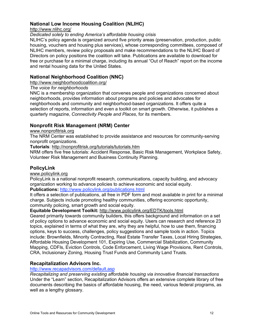### **National Low Income Housing Coalition (NLIHC)**

http://www.nlihc.org/

#### *Dedicated solely to ending America's affordable housing crisis*

NLIHC's policy agenda is organized around five priority areas (preservation, production, public housing, vouchers and housing plus services), whose corresponding committees, composed of NLIHC members, review policy proposals and make recommendations to the NLIHC Board of Directors on policy positions the coalition will take. Publications are available to download for free or purchase for a minimal charge, including its annual "Out of Reach" report on the income and rental housing data for the United States.

### **National Neighborhood Coalition (NNC)**

### http://www.neighborhoodcoalition.org/

### *The voice for neighborhoods*

NNC is a membership organization that convenes people and organizations concerned about neighborhoods, provides information about programs and policies and advocates for neighborhoods and community and neighborhood-based organizations. It offers quite a selection of reports, information and even a toolkit on smart growth. Otherwise, it publishes a quarterly magazine, *Connectivity People and Places*, for its members.

### **Nonprofit Risk Management (NRM) Center**

### www.nonprofitrisk.org

The NRM Center was established to provide assistance and resources for community-serving nonprofit organizations.

**Tutorials**: http://nonprofitrisk.org/tutorials/tutorials.htm

NRM offers five free tutorials: Accident Response, Basic Risk Management, Workplace Safety, Volunteer Risk Management and Business Continuity Planning.

### **PolicyLink**

### www.policylink.org

PolicyLink is a national nonprofit research, communications, capacity building, and advocacy organization working to advance policies to achieve economic and social equity. **Publications:** http://www.policylink.org/publications.html

It offers a selection of publications, all free in PDF form and most available in print for a minimal charge. Subjects include promoting healthy communities, offering economic opportunity, community policing, smart growth and social equity.

### **Equitable Development Toolkit:** http://www.policylink.org/EDTK/tools.html

Geared primarily towards community builders, this offers background and information on a set of policy options to advance economic and social equity. Users can research and reference 23 topics, explained in terms of what they are, why they are helpful, how to use them, financing options, keys to success, challenges, policy suggestions and sample tools in action. Topics include: Brownfields, Minority Contracting, Real Estate Transfer Taxes, Local Hiring Strategies, Affordable Housing Development 101, Expiring Use, Commercial Stabilization, Community Mapping, CDFIs, Eviction Controls, Code Enforcement, Living Wage Provisions, Rent Controls, CRA, Inclusionary Zoning, Housing Trust Funds and Community Land Trusts.

### **Recapitalization Advisors Inc.**

### http://www.recapadvisors.com/default.asp

*Recapitalizing and preserving existing affordable housing via innovative financial transactions* Under the "Learn" section, Recapitalization Advisors offers an extensive complete library of free documents describing the basics of affordable housing, the need, various federal programs, as well as a lengthy glossary.